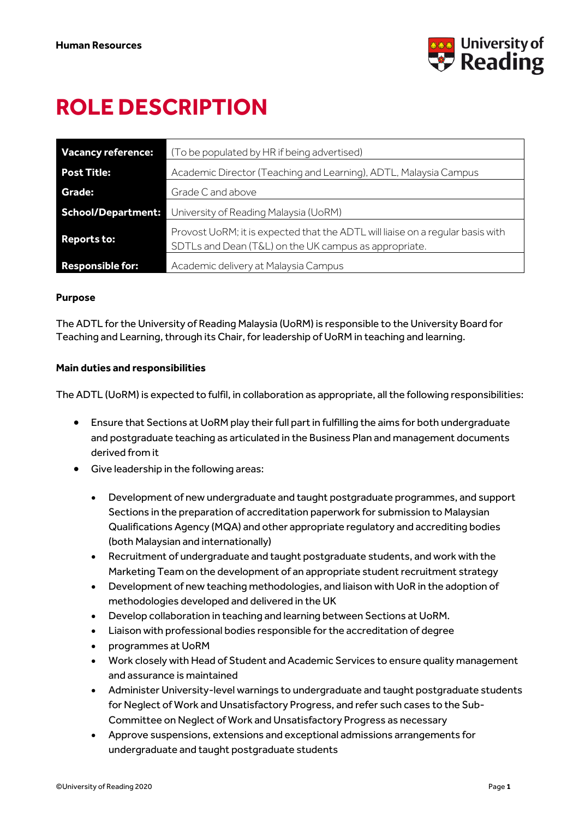

# **ROLE DESCRIPTION**

| <b>Vacancy reference:</b> | (To be populated by HR if being advertised)                                                                                             |
|---------------------------|-----------------------------------------------------------------------------------------------------------------------------------------|
| <b>Post Title:</b>        | Academic Director (Teaching and Learning), ADTL, Malaysia Campus                                                                        |
| Grade:                    | Grade C and above                                                                                                                       |
| School/Department:        | University of Reading Malaysia (UoRM)                                                                                                   |
| <b>Reports to:</b>        | Provost UoRM; it is expected that the ADTL will liaise on a regular basis with<br>SDTLs and Dean (T&L) on the UK campus as appropriate. |
| <b>Responsible for:</b>   | Academic delivery at Malaysia Campus                                                                                                    |

## **Purpose**

The ADTL for the University of Reading Malaysia (UoRM) is responsible to the University Board for Teaching and Learning, through its Chair, for leadership of UoRM in teaching and learning.

## **Main duties and responsibilities**

The ADTL (UoRM) is expected to fulfil, in collaboration as appropriate, all the following responsibilities:

- Ensure that Sections at UoRM play their full part in fulfilling the aims for both undergraduate and postgraduate teaching as articulated in the Business Plan and management documents derived from it
- Give leadership in the following areas:
	- Development of new undergraduate and taught postgraduate programmes, and support Sections in the preparation of accreditation paperwork for submission to Malaysian Qualifications Agency (MQA) and other appropriate regulatory and accrediting bodies (both Malaysian and internationally)
	- Recruitment of undergraduate and taught postgraduate students, and work with the Marketing Team on the development of an appropriate student recruitment strategy
	- Development of new teaching methodologies, and liaison with UoR in the adoption of methodologies developed and delivered in the UK
	- Develop collaboration in teaching and learning between Sections at UoRM.
	- Liaison with professional bodies responsible for the accreditation of degree
	- programmes at UoRM
	- Work closely with Head of Student and Academic Services to ensure quality management and assurance is maintained
	- Administer University-level warnings to undergraduate and taught postgraduate students for Neglect of Work and Unsatisfactory Progress, and refer such cases to the Sub-Committee on Neglect of Work and Unsatisfactory Progress as necessary
	- Approve suspensions, extensions and exceptional admissions arrangements for undergraduate and taught postgraduate students